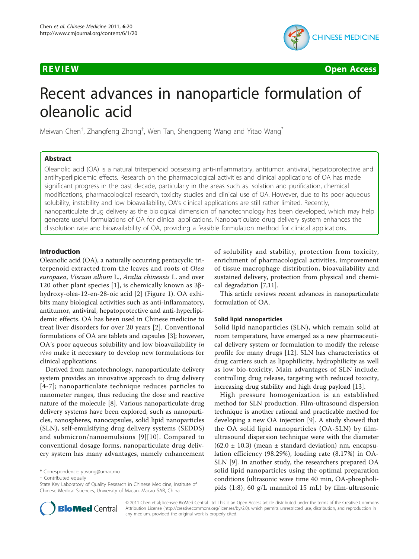

**REVIEW CONTROL** CONTROL CONTROL CONTROL CONTROL CONTROL CONTROL CONTROL CONTROL CONTROL CONTROL CONTROL CONTROL CONTROL CONTROL CONTROL CONTROL CONTROL CONTROL CONTROL CONTROL CONTROL CONTROL CONTROL CONTROL CONTROL CONTR

# Recent advances in nanoparticle formulation of oleanolic acid

Meiwan Chen<sup>†</sup>, Zhangfeng Zhong<sup>†</sup>, Wen Tan, Shengpeng Wang and Yitao Wang<sup>\*</sup>

# Abstract

Oleanolic acid (OA) is a natural triterpenoid possessing anti-inflammatory, antitumor, antiviral, hepatoprotective and antihyperlipidemic effects. Research on the pharmacological activities and clinical applications of OA has made significant progress in the past decade, particularly in the areas such as isolation and purification, chemical modifications, pharmacological research, toxicity studies and clinical use of OA. However, due to its poor aqueous solubility, instability and low bioavailability, OA's clinical applications are still rather limited. Recently, nanoparticulate drug delivery as the biological dimension of nanotechnology has been developed, which may help generate useful formulations of OA for clinical applications. Nanoparticulate drug delivery system enhances the dissolution rate and bioavailability of OA, providing a feasible formulation method for clinical applications.

# Introduction

Oleanolic acid (OA), a naturally occurring pentacyclic triterpenoid extracted from the leaves and roots of Olea europaea, Viscum album L., Aralia chinensis L. and over 120 other plant species [[1\]](#page-2-0), is chemically known as  $3\beta$ hydroxy-olea-12-en-28-oic acid [\[2](#page-3-0)] (Figure [1](#page-1-0)). OA exhibits many biological activities such as anti-inflammatory, antitumor, antiviral, hepatoprotective and anti-hyperlipidemic effects. OA has been used in Chinese medicine to treat liver disorders for over 20 years [\[2](#page-3-0)]. Conventional formulations of OA are tablets and capsules [\[3](#page-3-0)]; however, OA's poor aqueous solubility and low bioavailability in vivo make it necessary to develop new formulations for clinical applications.

Derived from nanotechnology, nanoparticulate delivery system provides an innovative approach to drug delivery [[4-7\]](#page-3-0); nanoparticulate technique reduces particles to nanometer ranges, thus reducing the dose and reactive nature of the molecule [[8\]](#page-3-0). Various nanoparticulate drug delivery systems have been explored, such as nanoparticles, nanospheres, nanocapsules, solid lipid nanoparticles (SLN), self-emulsifying drug delivery systems (SEDDS) and submicron/nanoemulsions [[9](#page-3-0)][\[10\]](#page-3-0). Compared to conventional dosage forms, nanoparticulate drug delivery system has many advantages, namely enhancement

† Contributed equally



This article reviews recent advances in nanoparticulate formulation of OA.

# Solid lipid nanoparticles

Solid lipid nanoparticles (SLN), which remain solid at room temperature, have emerged as a new pharmaceutical delivery system or formulation to modify the release profile for many drugs [[12](#page-3-0)]. SLN has characteristics of drug carriers such as lipophilicity, hydrophilicity as well as low bio-toxicity. Main advantages of SLN include: controlling drug release, targeting with reduced toxicity, increasing drug stability and high drug payload [[13](#page-3-0)].

High pressure homogenization is an established method for SLN production. Film-ultrasound dispersion technique is another rational and practicable method for developing a new OA injection [[9\]](#page-3-0). A study showed that the OA solid lipid nanoparticles (OA-SLN) by filmultrasound dispersion technique were with the diameter  $(62.0 \pm 10.3)$  (mean  $\pm$  standard deviation) nm, encapsulation efficiency (98.29%), loading rate (8.17%) in OA-SLN [\[9](#page-3-0)]. In another study, the researchers prepared OA solid lipid nanoparticles using the optimal preparation conditions (ultrasonic wave time 40 min, OA-phospholipids (1:8), 60 g/L mannitol 15 mL) by film-ultrasonic



© 2011 Chen et al; licensee BioMed Central Ltd. This is an Open Access article distributed under the terms of the Creative Commons Attribution License [\(http://creativecommons.org/licenses/by/2.0](http://creativecommons.org/licenses/by/2.0)), which permits unrestricted use, distribution, and reproduction in any medium, provided the original work is properly cited.

<sup>\*</sup> Correspondence: [ytwang@umac.mo](mailto:ytwang@umac.mo)

State Key Laboratory of Quality Research in Chinese Medicine, Institute of Chinese Medical Sciences, University of Macau, Macao SAR, China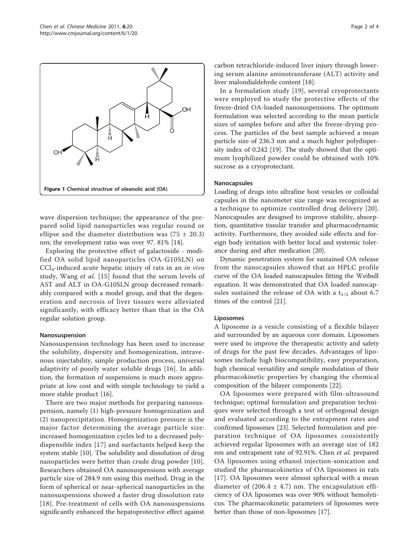<span id="page-1-0"></span>

wave dispersion technique; the appearance of the prepared solid lipid nanoparticles was regular round or ellipse and the diameter distribution was  $(75 \pm 20.3)$ nm; the envelopment ratio was over 97. 81% [[14](#page-3-0)].

Exploring the protective effect of galactoside - modified OA solid lipid nanoparticles (OA-G10SLN) on  $\text{CCl}_4$ -induced acute hepatic injury of rats in an *in vivo* study, Wang et al. [[15](#page-3-0)] found that the serum levels of AST and ALT in OA-G10SLN group decreased remarkably compared with a model group, and that the degeneration and necrosis of liver tissues were alleviated significantly, with efficacy better than that in the OA regular solution group.

# Nanosuspension

Nanosuspension technology has been used to increase the solubility, dispersity and homogenization, intravenous injectability, simple production process, universal adaptivity of poorly water soluble drugs [[16\]](#page-3-0). In addition, the formation of suspensions is much more appropriate at low cost and with simple technology to yield a more stable product [\[16\]](#page-3-0).

There are two major methods for preparing nanosuspension, namely (1) high-pressure homogenization and (2) nanoprecipitation. Homogenization pressure is the major factor determining the average particle size: increased homogenization cycles led to a decreased polydispensible index [\[17\]](#page-3-0) and surfactants helped keep the system stable [\[10](#page-3-0)]. The solubility and dissolution of drug nanoparticles were better than crude drug powder [[10](#page-3-0)]. Researchers obtained OA nanosuspensions with average particle size of 284.9 nm using this method. Drug in the form of spherical or near-spherical nanoparticles in the nanosuspensions showed a faster drug dissolution rate [[18\]](#page-3-0). Pre-treatment of cells with OA nanosuspensions significantly enhanced the hepatoprotective effect against carbon tetrachloride-induced liver injury through lowering serum alanine aminotransferase (ALT) activity and liver malondialdehyde content [[18](#page-3-0)].

In a formulation study [[19\]](#page-3-0), several cryoprotectants were employed to study the protective effects of the freeze-dried OA-loaded nanosuspensions. The optimum formulation was selected according to the mean particle sizes of samples before and after the freeze-drying process. The particles of the best sample achieved a mean particle size of 236.3 nm and a much higher polydispersity index of 0.242 [[19\]](#page-3-0). The study showed that the optimum lyophilized powder could be obtained with 10% sucrose as a cryoprotectant.

# Nanocapsules

Loading of drugs into ultrafine host vesicles or colloidal capsules in the nanometer size range was recognized as a technique to optimize controlled drug delivery [[20](#page-3-0)]. Nanocapsules are designed to improve stability, absorption, quantitative tissular transfer and pharmacodynamic activity. Furthermore, they avoided side effects and foreign body irritation with better local and systemic tolerance during and after medication [[20\]](#page-3-0).

Dynamic penetration system for sustained OA release from the nanocapsules showed that an HPLC profile curve of the OA loaded nanocapsules fitting the Weibull equation. It was demonstrated that OA loaded nanocapsules sustained the release of OA with a  $t_{1/2}$  about 6.7 times of the control [[21\]](#page-3-0).

# Liposomes

A liposome is a vesicle consisting of a flexible bilayer and surrounded by an aqueous core domain. Liposomes were used to improve the therapeutic activity and safety of drugs for the past few decades. Advantages of liposomes include high biocompatibility, easy preparation, high chemical versatility and simple modulation of their pharmacokinetic properties by changing the chemical composition of the bilayer components [\[22\]](#page-3-0).

OA liposomes were prepared with film-ultrasound technique; optimal formulation and preparation techniques were selected through a test of orthogonal design and evaluated according to the entrapment rates and confirmed liposomes [[23\]](#page-3-0). Selected formulation and preparation technique of OA liposomes consistently achieved regular liposomes with an average size of 182 nm and entrapment rate of 92.91%. Chen et al. prepared OA liposomes using ethanol injection-sonication and studied the pharmacokinetics of OA liposomes in rats [[17](#page-3-0)]. OA liposomes were almost spherical with a mean diameter of  $(206.4 \pm 4.7)$  nm. The encapsulation efficiency of OA liposomes was over 90% without hemolyticus. The pharmacokinetic parameters of liposomes were better than those of non-liposomes [[17](#page-3-0)].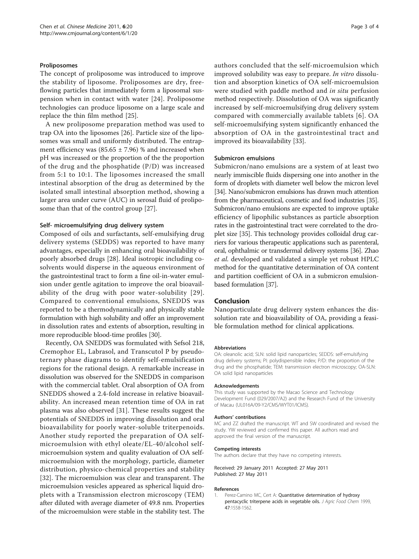# <span id="page-2-0"></span>Proliposomes

The concept of proliposome was introduced to improve the stability of liposome. Proliposomes are dry, freeflowing particles that immediately form a liposomal suspension when in contact with water [[24](#page-3-0)]. Proliposome technologies can produce liposome on a large scale and replace the thin film method [\[25](#page-3-0)].

A new proliposome preparation method was used to trap OA into the liposomes [\[26](#page-3-0)]. Particle size of the liposomes was small and uniformly distributed. The entrapment efficiency was  $(85.65 \pm 7.96)$  % and increased when pH was increased or the proportion of the the proportion of the drug and the phosphatide (P/D) was increased from 5:1 to 10:1. The liposomes increased the small intestinal absorption of the drug as determined by the isolated small intestinal absorption method, showing a larger area under curve (AUC) in serosal fluid of proliposome than that of the control group [\[27](#page-3-0)].

# Self- microemulsifying drug delivery system

Composed of oils and surfactants, self-emulsifying drug delivery systems (SEDDS) was reported to have many advantages, especially in enhancing oral bioavailability of poorly absorbed drugs [\[28](#page-3-0)]. Ideal isotropic including cosolvents would disperse in the aqueous environment of the gastrointestinal tract to form a fine oil-in-water emulsion under gentle agitation to improve the oral bioavailability of the drug with poor water-solubility [[29\]](#page-3-0). Compared to conventional emulsions, SNEDDS was reported to be a thermodynamically and physically stable formulation with high solubility and offer an improvement in dissolution rates and extents of absorption, resulting in more reproducible blood-time profiles [[30](#page-3-0)].

Recently, OA SNEDDS was formulated with Sefsol 218, Cremophor EL, Labrasol, and Transcutol P by pseudoternary phase diagrams to identify self-emulsification regions for the rational design. A remarkable increase in dissolution was observed for the SNEDDS in comparison with the commercial tablet. Oral absorption of OA from SNEDDS showed a 2.4-fold increase in relative bioavailability. An increased mean retention time of OA in rat plasma was also observed [\[31](#page-3-0)]. These results suggest the potentials of SNEDDS in improving dissolution and oral bioavailability for poorly water-soluble triterpenoids. Another study reported the preparation of OA selfmicroemulsion with ethyl oleate/EL-40/alcohol selfmicroemulsion system and quality evaluation of OA selfmicroemulsion with the morphology, particle, diameter distribution, physico-chemical properties and stability [[32\]](#page-3-0). The microemulsion was clear and transparent. The microemulsion vesicles appeared as spherical liquid droplets with a Transmission electron microscopy (TEM) after diluted with average diameter of 49.8 nm. Properties of the microemulsion were stable in the stability test. The authors concluded that the self-microemulsion which improved solubility was easy to prepare. In vitro dissolution and absorption kinetics of OA self-microemulsion were studied with paddle method and in situ perfusion method respectively. Dissolution of OA was significantly increased by self-microemulsifying drug delivery system compared with commercially available tablets [[6\]](#page-3-0). OA self-microemulsifying system significantly enhanced the absorption of OA in the gastrointestinal tract and improved its bioavailability [[33\]](#page-3-0).

### Submicron emulsions

Submicron/nano emulsions are a system of at least two nearly immiscible fluids dispersing one into another in the form of droplets with diameter well below the micron level [[34](#page-3-0)]. Nano/submicron emulsions has drawn much attention from the pharmaceutical, cosmetic and food industries [\[35](#page-3-0)]. Submicron/nano emulsions are expected to improve uptake efficiency of lipophilic substances as particle absorption rates in the gastrointestinal tract were correlated to the droplet size [\[35\]](#page-3-0). This technology provides colloidal drug carriers for various therapeutic applications such as parenteral, oral, ophthalmic or transdermal delivery systems [\[36\]](#page-3-0). Zhao et al. developed and validated a simple yet robust HPLC method for the quantitative determination of OA content and partition coefficient of OA in a submicron emulsionbased formulation [\[37](#page-3-0)].

# Conclusion

Nanoparticulate drug delivery system enhances the dissolution rate and bioavailability of OA, providing a feasible formulation method for clinical applications.

#### Abbreviations

OA: oleanolic acid; SLN: solid lipid nanoparticles; SEDDS: self-emulsifying drug delivery systems; PI: polydispensible index; P/D: the proportion of the drug and the phosphatide; TEM: transmission electron microscopy; OA-SLN: OA solid lipid nanoparticles

#### Acknowledgements

This study was supported by the Macao Science and Technology Development Fund (029/2007/A2) and the Research Fund of the University of Macau (UL016A/09-Y2/CMS/WYT01/ICMS).

# Authors' contributions

MC and ZZ drafted the manuscript. WT and SW coordinated and revised the study. YW reviewed and confirmed this paper. All authors read and approved the final version of the manuscript.

#### Competing interests

The authors declare that they have no competing interests.

Received: 29 January 2011 Accepted: 27 May 2011 Published: 27 May 2011

#### References

1. Perez-Camino MC, Cert A: [Quantitative determination of hydroxy](http://www.ncbi.nlm.nih.gov/pubmed/10564016?dopt=Abstract) [pentacyclic triterpene acids in vegetable oils.](http://www.ncbi.nlm.nih.gov/pubmed/10564016?dopt=Abstract) J Agric Food Chem 1999, 47:1558-1562.